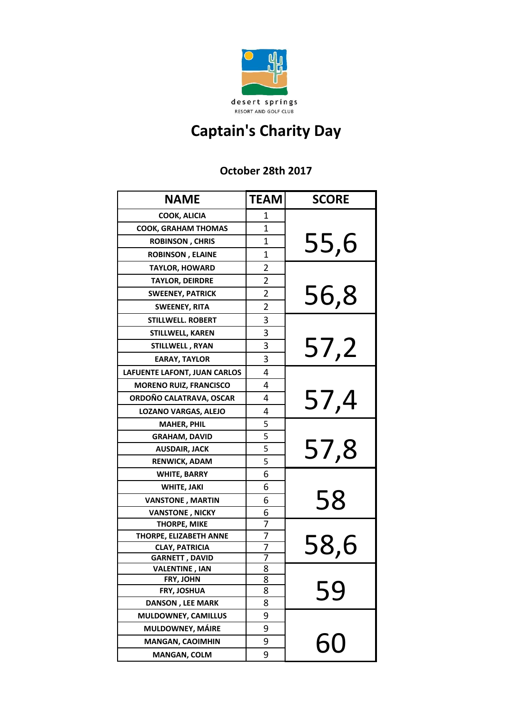

## **Captain's Charity Day**

## **October 28th 2017**

| <b>NAME</b>                            | <b>TEAM</b>    | <b>SCORE</b> |
|----------------------------------------|----------------|--------------|
| <b>COOK, ALICIA</b>                    | 1              |              |
| <b>COOK, GRAHAM THOMAS</b>             | 1              |              |
| <b>ROBINSON, CHRIS</b>                 | 1              | 55,6         |
| <b>ROBINSON, ELAINE</b>                | 1              |              |
| <b>TAYLOR, HOWARD</b>                  | 2              |              |
| <b>TAYLOR, DEIRDRE</b>                 | 2              |              |
| <b>SWEENEY, PATRICK</b>                | 2              | 56,8         |
| <b>SWEENEY, RITA</b>                   | $\overline{2}$ |              |
| <b>STILLWELL. ROBERT</b>               | 3              |              |
| STILLWELL, KAREN                       | 3              |              |
| <b>STILLWELL, RYAN</b>                 | 3              | 57,2         |
| <b>EARAY, TAYLOR</b>                   | 3              |              |
| LAFUENTE LAFONT, JUAN CARLOS           | 4              |              |
| <b>MORENO RUIZ, FRANCISCO</b>          | 4              |              |
| ORDOÑO CALATRAVA, OSCAR                | 4              | 57,4         |
| <b>LOZANO VARGAS, ALEJO</b>            | 4              |              |
| <b>MAHER, PHIL</b>                     | 5              |              |
| <b>GRAHAM, DAVID</b>                   | 5              |              |
| <b>AUSDAIR, JACK</b>                   | 5              | 57,8         |
| <b>RENWICK, ADAM</b>                   | 5              |              |
| <b>WHITE, BARRY</b>                    | 6              |              |
| <b>WHITE, JAKI</b>                     | 6              |              |
| <b>VANSTONE, MARTIN</b>                | 6              | 58           |
| <b>VANSTONE, NICKY</b>                 | 6              |              |
| <b>THORPE, MIKE</b>                    | 7              |              |
| THORPE, ELIZABETH ANNE                 | 7              |              |
| <b>CLAY, PATRICIA</b>                  | 7              | 58,6         |
| <b>GARNETT, DAVID</b>                  | 7              |              |
| <b>VALENTINE, IAN</b>                  | 8              |              |
| FRY, JOHN                              | 8<br>8         |              |
| FRY, JOSHUA<br><b>DANSON, LEE MARK</b> | 8              | 59           |
| MULDOWNEY, CAMILLUS                    | 9              |              |
| MULDOWNEY, MÁIRE                       | 9              |              |
| <b>MANGAN, CAOIMHIN</b>                | 9              |              |
| <b>MANGAN, COLM</b>                    | 9              | 60           |